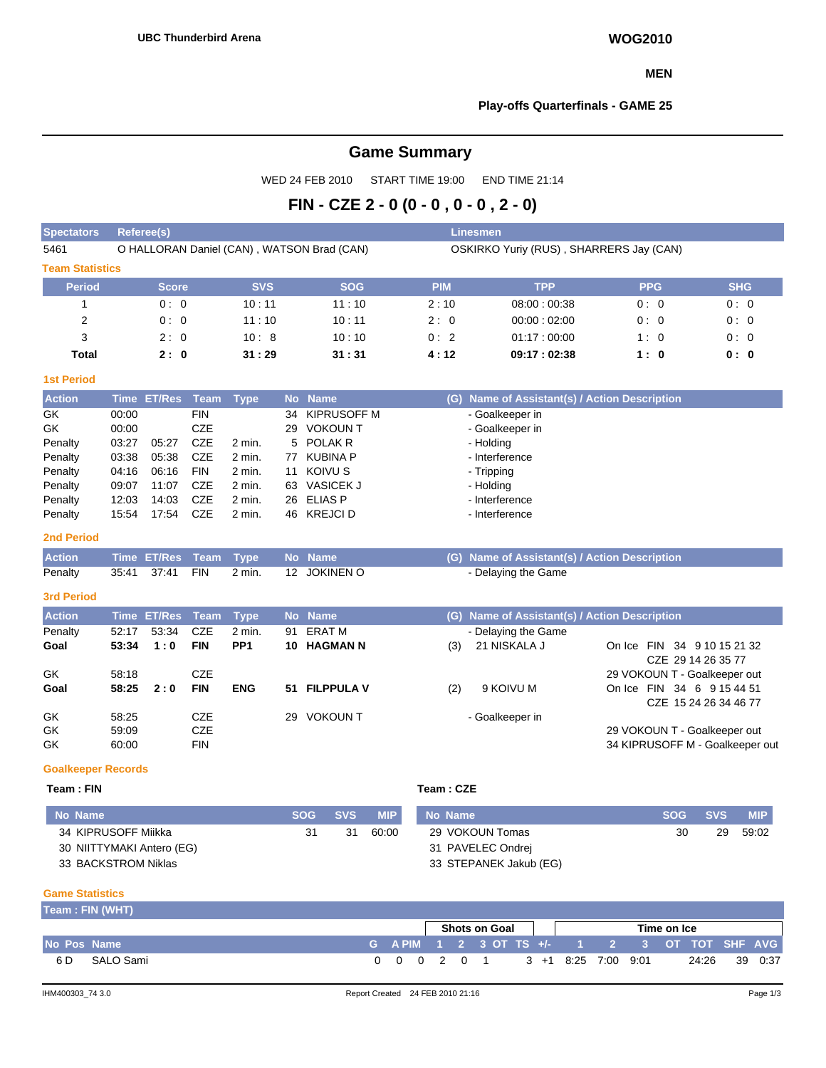#### **MEN**

#### **Play-offs Quarterfinals - GAME 25**

# **Game Summary**

WED 24 FEB 2010 START TIME 19:00 END TIME 21:14

# **FIN - CZE 2 - 0 (0 - 0 , 0 - 0 , 2 - 0)**

| <b>Spectators</b>      | Referee(s)                                 |            |            | <b>Linesmen</b> |                                         |            |            |  |  |  |  |
|------------------------|--------------------------------------------|------------|------------|-----------------|-----------------------------------------|------------|------------|--|--|--|--|
| 5461                   | O HALLORAN Daniel (CAN), WATSON Brad (CAN) |            |            |                 | OSKIRKO Yuriy (RUS), SHARRERS Jay (CAN) |            |            |  |  |  |  |
| <b>Team Statistics</b> |                                            |            |            |                 |                                         |            |            |  |  |  |  |
| <b>Period</b>          | <b>Score</b>                               | <b>SVS</b> | <b>SOG</b> | <b>PIM</b>      | <b>TPP</b>                              | <b>PPG</b> | <b>SHG</b> |  |  |  |  |
|                        | 0:0                                        | 10:11      | 11:10      | 2:10            | 08:00:00:38                             | 0:0        | 0:0        |  |  |  |  |
| 2                      | 0:0                                        | 11:10      | 10:11      | 2:0             | 00:00:02:00                             | 0:0        | 0:0        |  |  |  |  |
| 3                      | 2:0                                        | 10:8       | 10:10      | 0:2             | 01:17:00:00                             | 1:0        | 0:0        |  |  |  |  |
| <b>Total</b>           | 2:0                                        | 31:29      | 31:31      | 4:12            | 09:17:02:38                             | 1:0        | 0: 0       |  |  |  |  |

# **1st Period**

| <b>Action</b> |       | Time ET/Res Team Type |            |        |    | No Name          | (G) Name of Assistant(s) / Action Description |
|---------------|-------|-----------------------|------------|--------|----|------------------|-----------------------------------------------|
| GK            | 00:00 |                       | FIN        |        |    | 34 KIPRUSOFF M   | - Goalkeeper in                               |
| GK            | 00:00 |                       | CZE        |        | 29 | VOKOUN T         | - Goalkeeper in                               |
| Penalty       | 03:27 | 05:27                 | <b>CZE</b> | 2 min. |    | 5 POLAK R        | - Holding                                     |
| Penalty       | 03:38 | 05:38                 | CZE        | 2 min. | 77 | KUBINA P         | - Interference                                |
| Penalty       | 04:16 | 06:16                 | <b>FIN</b> | 2 min. | 11 | KOIVU S          | - Tripping                                    |
| Penalty       | 09:07 | 11:07                 | CZE        | 2 min. | 63 | <b>VASICEK J</b> | - Holding                                     |
| Penalty       | 12:03 | 14:03                 | CZE        | 2 min. |    | 26 ELIAS P       | - Interference                                |
| Penalty       | 15:54 | 17:54                 | <b>CZE</b> | 2 min. |    | 46 KREJCI D      | - Interference                                |

### **2nd Period**

| Action Time ET/Res Team Type No Name |  |  |  | (G) Name of Assistant(s) / Action Description |
|--------------------------------------|--|--|--|-----------------------------------------------|
| Penalty                              |  |  |  | - Delaying the Game                           |

#### **3rd Period**

| <b>Action</b> |       | Time ET/Res Team |            | Type            |    | No Name         |     | (G) Name of Assistant(s) / Action Description |                                 |
|---------------|-------|------------------|------------|-----------------|----|-----------------|-----|-----------------------------------------------|---------------------------------|
| Penalty       | 52:17 | 53:34            | <b>CZE</b> | $2$ min.        | 91 | ERAT M          |     | - Delaying the Game                           |                                 |
| Goal          | 53:34 | 1:0              | <b>FIN</b> | PP <sub>1</sub> |    | 10 HAGMAN N     | (3) | 21 NISKALA J                                  | On Ice FIN 34 9 10 15 21 32     |
|               |       |                  |            |                 |    |                 |     |                                               | CZE 29 14 26 35 77              |
| GK            | 58:18 |                  | CZE        |                 |    |                 |     |                                               | 29 VOKOUN T - Goalkeeper out    |
| Goal          | 58:25 | 2:0              | <b>FIN</b> | <b>ENG</b>      |    | 51 FILPPULA V   | (2) | 9 KOIVU M                                     | On Ice FIN 34 6 9 15 44 51      |
|               |       |                  |            |                 |    |                 |     |                                               | CZE 15 24 26 34 46 77           |
| GK            | 58:25 |                  | CZE        |                 | 29 | <b>VOKOUN T</b> |     | - Goalkeeper in                               |                                 |
| GK            | 59:09 |                  | CZE        |                 |    |                 |     |                                               | 29 VOKOUN T - Goalkeeper out    |
| <b>GK</b>     | 60:00 |                  | <b>FIN</b> |                 |    |                 |     |                                               | 34 KIPRUSOFF M - Goalkeeper out |

#### **Goalkeeper Records**

# **Team : FIN Team** : **FIN**

| Team : CZE |  |  |
|------------|--|--|
|------------|--|--|

| No Name                   | <b>SOG</b> | <b>SVS</b> | <b>MIP</b> | No Name                | <b>SOG</b> | <b>SVS</b> | <b>MIP</b> |
|---------------------------|------------|------------|------------|------------------------|------------|------------|------------|
| 34 KIPRUSOFF Miikka       | 31         | 31         | 60:00      | 29 VOKOUN Tomas        | 30         | 29         | 59:02      |
| 30 NIITTYMAKI Antero (EG) |            |            |            | 31 PAVELEC Ondrej      |            |            |            |
| 33 BACKSTROM Niklas       |            |            |            | 33 STEPANEK Jakub (EG) |            |            |            |

#### **Game Statistics**

|             | Team: FIN (WHT) |             |  |  |                      |  |                     |  |             |                                            |  |
|-------------|-----------------|-------------|--|--|----------------------|--|---------------------|--|-------------|--------------------------------------------|--|
|             |                 |             |  |  | <b>Shots on Goal</b> |  |                     |  | Time on Ice |                                            |  |
| No Pos Name |                 |             |  |  |                      |  |                     |  |             | GAPIM 1 2 3 OT TS +/- 1 2 3 OT TOT SHFAVGI |  |
| 6 D         | SALO Sami       | 0 0 0 2 0 1 |  |  |                      |  | 3 +1 8:25 7:00 9:01 |  |             | 24:26 39 0:37                              |  |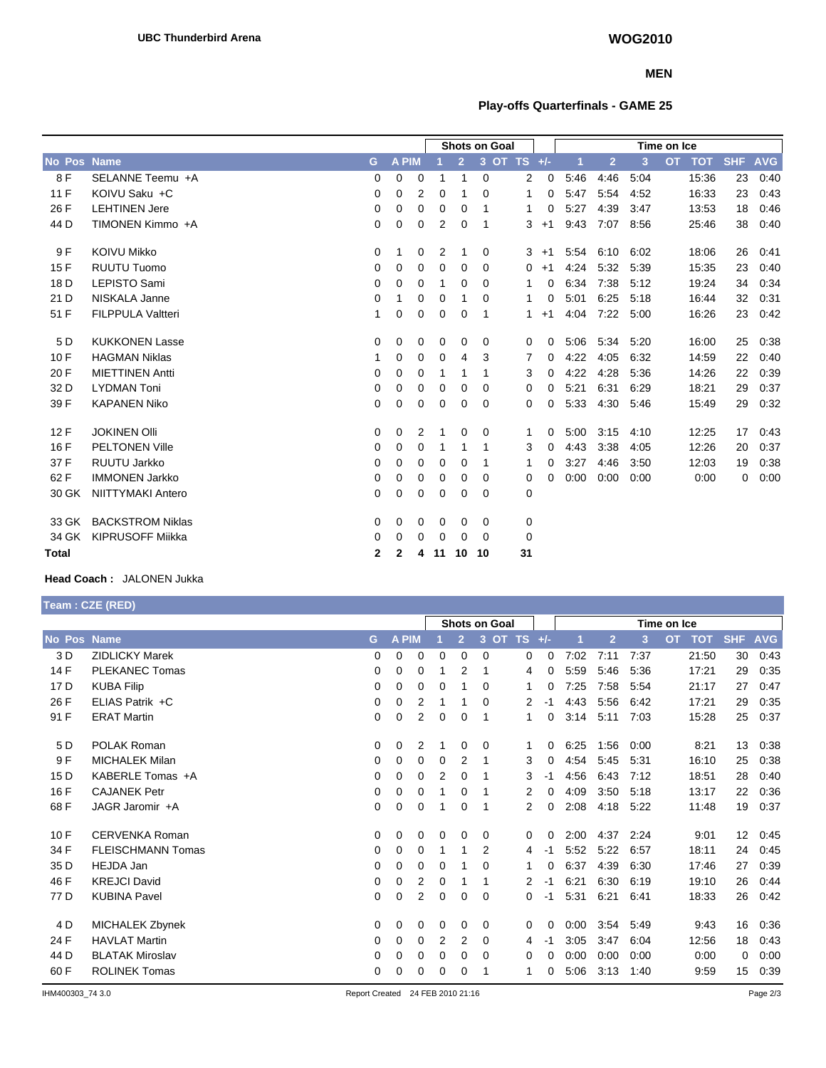### **MEN**

# **Play-offs Quarterfinals - GAME 25**

|              |                          |              |              |   |    |                | <b>Shots on Goal</b> |       |           |      |                |      | Time on Ice      |            |            |
|--------------|--------------------------|--------------|--------------|---|----|----------------|----------------------|-------|-----------|------|----------------|------|------------------|------------|------------|
| No Pos       | <b>Name</b>              | G            | <b>A PIM</b> |   |    | $\overline{2}$ | 3                    | OT TS | $+/-$     |      | $\overline{2}$ | 3    | <b>TOT</b><br>OT | <b>SHF</b> | <b>AVG</b> |
| 8 F          | SELANNE Teemu +A         | 0            | 0            | 0 |    | 1              | $\mathbf 0$          | 2     | 0         | 5:46 | 4:46           | 5:04 | 15:36            | 23         | 0:40       |
| 11F          | KOIVU Saku +C            | 0            | 0            | 2 | 0  | 1              | 0                    | 1     | 0         | 5:47 | 5:54           | 4:52 | 16:33            | 23         | 0:43       |
| 26 F         | <b>LEHTINEN Jere</b>     | 0            | 0            | 0 | 0  | 0              | 1                    | 1     | $\Omega$  | 5:27 | 4:39           | 3:47 | 13:53            | 18         | 0:46       |
| 44 D         | TIMONEN Kimmo +A         | 0            | 0            | 0 | 2  | 0              | -1                   | 3     | $+1$      | 9:43 | 7:07           | 8.56 | 25:46            | 38         | 0:40       |
| 9 F          | <b>KOIVU Mikko</b>       | 0            | 1            | 0 | 2  | 1              | 0                    |       | 3<br>$+1$ | 5:54 | 6:10           | 6:02 | 18:06            | 26         | 0:41       |
| 15F          | <b>RUUTU Tuomo</b>       | 0            | 0            | 0 | 0  | 0              | $\Omega$             | 0     | $+1$      | 4:24 | 5:32           | 5:39 | 15:35            | 23         | 0:40       |
| 18 D         | <b>LEPISTO Sami</b>      | 0            | 0            | 0 |    | 0              | 0                    | 1     | 0         | 6:34 | 7:38           | 5:12 | 19:24            | 34         | 0:34       |
| 21 D         | NISKALA Janne            | 0            | 1            | 0 | 0  | 1              | 0                    | 1     | 0         | 5:01 | 6:25           | 5:18 | 16:44            | 32         | 0:31       |
| 51 F         | <b>FILPPULA Valtteri</b> | 1            | 0            | 0 | 0  | 0              | 1                    | 1     | $+1$      | 4:04 | 7:22           | 5:00 | 16:26            | 23         | 0:42       |
| 5 D          | <b>KUKKONEN Lasse</b>    | 0            | 0            | 0 | 0  | 0              | 0                    | 0     | 0         | 5:06 | 5:34           | 5:20 | 16:00            | 25         | 0:38       |
| 10F          | <b>HAGMAN Niklas</b>     | 1            | 0            | 0 | 0  | 4              | 3                    | 7     | 0         | 4:22 | 4:05           | 6:32 | 14:59            | 22         | 0:40       |
| 20 F         | <b>MIETTINEN Antti</b>   | 0            | 0            | 0 | 1  | 1              | -1                   | 3     | 0         | 4:22 | 4:28           | 5:36 | 14:26            | 22         | 0:39       |
| 32 D         | <b>LYDMAN Toni</b>       | 0            | 0            | 0 | 0  | 0              | $\Omega$             | 0     | 0         | 5:21 | 6:31           | 6:29 | 18:21            | 29         | 0:37       |
| 39 F         | <b>KAPANEN Niko</b>      | 0            | 0            | 0 | 0  | 0              | $\Omega$             | 0     | 0         | 5:33 | 4:30           | 5:46 | 15:49            | 29         | 0:32       |
| 12F          | <b>JOKINEN OIII</b>      | 0            | 0            | 2 | 1  | 0              | 0                    | 1     | 0         | 5:00 | 3:15           | 4:10 | 12:25            | 17         | 0:43       |
| 16 F         | <b>PELTONEN Ville</b>    | 0            | 0            | 0 |    | 1              | 1                    | 3     | 0         | 4:43 | 3:38           | 4:05 | 12:26            | 20         | 0:37       |
| 37 F         | RUUTU Jarkko             | 0            | 0            | 0 | 0  | 0              | -1                   | 1     | 0         | 3:27 | 4:46           | 3:50 | 12:03            | 19         | 0:38       |
| 62 F         | <b>IMMONEN Jarkko</b>    | 0            | 0            | 0 | 0  | 0              | 0                    | 0     | $\Omega$  | 0:00 | 0:00           | 0:00 | 0:00             | 0          | 0:00       |
| 30 GK        | <b>NIITTYMAKI Antero</b> | $\mathbf 0$  | $\mathbf 0$  | 0 | 0  | 0              | $\Omega$             | 0     |           |      |                |      |                  |            |            |
| 33 GK        | <b>BACKSTROM Niklas</b>  | 0            | 0            | 0 | 0  | 0              | 0                    | 0     |           |      |                |      |                  |            |            |
| 34 GK        | <b>KIPRUSOFF Miikka</b>  | 0            | 0            | 0 | 0  | 0              | $\Omega$             | 0     |           |      |                |      |                  |            |            |
| <b>Total</b> |                          | $\mathbf{2}$ | $\mathbf{2}$ | 4 | 11 | 10             | 10                   | 31    |           |      |                |      |                  |            |            |

# **Head Coach :** JALONEN Jukka

**Team : CZE (RED)**

|        |                        |             | Shots on Goal |   |                |   |                |                | Time on Ice |      |                |      |                         |                   |            |
|--------|------------------------|-------------|---------------|---|----------------|---|----------------|----------------|-------------|------|----------------|------|-------------------------|-------------------|------------|
| No Pos | <b>Name</b>            | G.          | <b>A PIM</b>  |   |                | 2 | 3<br><b>OT</b> | <b>TS</b>      | $+/-$       |      | $\overline{2}$ | 3    | <b>OT</b><br><b>TOT</b> | <b>SHF</b>        | <b>AVG</b> |
| 3 D    | <b>ZIDLICKY Marek</b>  | 0           | 0             | 0 | 0              | 0 | 0              | 0              | 0           | 7:02 | 7:11           | 7:37 | 21:50                   | 30                | 0.43       |
| 14 F   | PLEKANEC Tomas         | 0           | 0             | 0 |                | 2 |                | 4              | 0           | 5:59 | 5:46           | 5:36 | 17:21                   | 29                | 0:35       |
| 17 D   | <b>KUBA Filip</b>      | 0           | 0             | 0 | 0              |   | 0              | 1              | 0           | 7:25 | 7:58           | 5:54 | 21:17                   | 27                | 0:47       |
| 26 F   | ELIAS Patrik +C        | 0           | $\Omega$      | 2 |                |   | $\Omega$       | 2              | -1          | 4:43 | 5:56           | 6:42 | 17:21                   | 29                | 0:35       |
| 91 F   | <b>ERAT Martin</b>     | 0           | 0             | 2 | $\mathbf 0$    | 0 | -1             | $\overline{1}$ | 0           | 3:14 | 5:11           | 7:03 | 15:28                   | 25                | 0:37       |
| 5 D    | POLAK Roman            | 0           | $\Omega$      | 2 |                | 0 | 0              | 1              | 0           | 6:25 | 1:56           | 0:00 | 8:21                    | 13                | 0:38       |
| 9F     | <b>MICHALEK Milan</b>  | 0           | 0             | 0 | 0              | 2 | 1              | 3              | 0           | 4:54 | 5:45           | 5:31 | 16:10                   | 25                | 0:38       |
| 15 D   | KABERLE Tomas +A       | 0           | 0             | 0 | $\overline{2}$ | 0 | 1              | 3              | -1          | 4.56 | 6:43           | 7:12 | 18:51                   | 28                | 0:40       |
| 16 F   | <b>CAJANEK Petr</b>    | 0           | 0             | 0 |                | 0 |                | 2              | 0           | 4:09 | 3:50           | 5:18 | 13:17                   | 22                | 0:36       |
| 68 F   | JAGR Jaromir +A        | 0           | 0             | 0 |                | 0 | 1              | $\overline{2}$ | 0           | 2:08 | 4:18           | 5:22 | 11:48                   | 19                | 0:37       |
| 10F    | CERVENKA Roman         | 0           | 0             | 0 | 0              | 0 | 0              | 0              | 0           | 2:00 | 4:37           | 2:24 | 9:01                    | $12 \overline{ }$ | 0:45       |
| 34 F   | FLEISCHMANN Tomas      | 0           | 0             | 0 |                |   | 2              | 4              | -1          | 5:52 | 5:22           | 6:57 | 18:11                   | 24                | 0:45       |
| 35 D   | <b>HEJDA Jan</b>       | 0           | 0             | 0 | 0              |   | 0              |                | 0           | 6:37 | 4:39           | 6:30 | 17:46                   | 27                | 0:39       |
| 46 F   | <b>KREJCI David</b>    | $\mathbf 0$ | 0             | 2 | 0              |   | -1             | $\overline{2}$ | -1          | 6:21 | 6:30           | 6:19 | 19:10                   | 26                | 0:44       |
| 77 D   | <b>KUBINA Pavel</b>    | 0           | 0             | 2 | 0              | 0 | 0              | 0              | $-1$        | 5:31 | 6:21           | 6:41 | 18:33                   | 26                | 0:42       |
| 4 D    | MICHALEK Zbynek        | 0           | 0             | 0 | 0              | 0 | 0              | $\mathbf 0$    | 0           | 0:00 | 3:54           | 5:49 | 9:43                    | 16                | 0:36       |
| 24 F   | <b>HAVLAT Martin</b>   | 0           | 0             | 0 | 2              | 2 | 0              | 4              | -1          | 3:05 | 3:47           | 6:04 | 12:56                   | 18                | 0:43       |
| 44 D   | <b>BLATAK Miroslav</b> | 0           | 0             | 0 | 0              | 0 | 0              | 0              | 0           | 0:00 | 0:00           | 0:00 | 0:00                    | 0                 | 0:00       |
| 60 F   | <b>ROLINEK Tomas</b>   | 0           | 0             | 0 | 0              | 0 | 1              | 1              | 0           | 5:06 | 3:13           | 1:40 | 9:59                    | 15                | 0:39       |